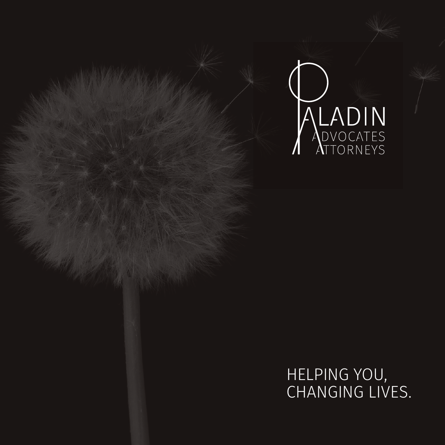

HELPING YOU, CHANGING LIVES.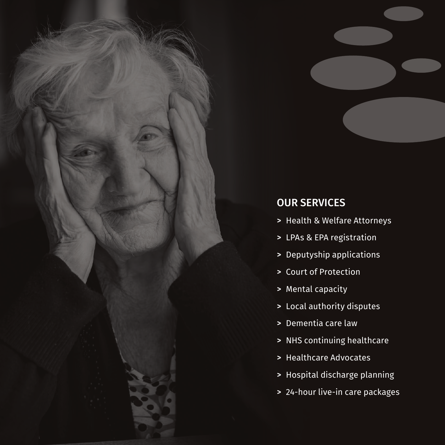

# OUR SERVICES

- > Health & Welfare Attorneys
- > LPAs & EPA registration
- > Deputyship applications
- > Court of Protection
- > Mental capacity
- > Local authority disputes
- > Dementia care law
- > NHS continuing healthcare
- > Healthcare Advocates
- > Hospital discharge planning
- > 24-hour live-in care packages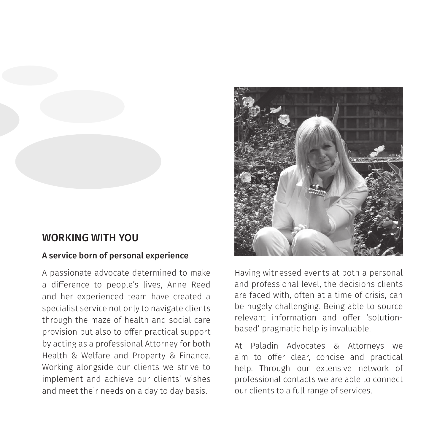

#### WORKING WITH YOU

#### A service born of personal experience

A passionate advocate determined to make a difference to people's lives, Anne Reed and her experienced team have created a specialist service not only to navigate clients through the maze of health and social care provision but also to offer practical support by acting as a professional Attorney for both Health & Welfare and Property & Finance. Working alongside our clients we strive to implement and achieve our clients' wishes and meet their needs on a day to day basis.



Having witnessed events at both a personal and professional level, the decisions clients are faced with, often at a time of crisis, can be hugely challenging. Being able to source relevant information and offer 'solutionbased' pragmatic help is invaluable.

At Paladin Advocates & Attorneys we aim to offer clear, concise and practical help. Through our extensive network of professional contacts we are able to connect our clients to a full range of services.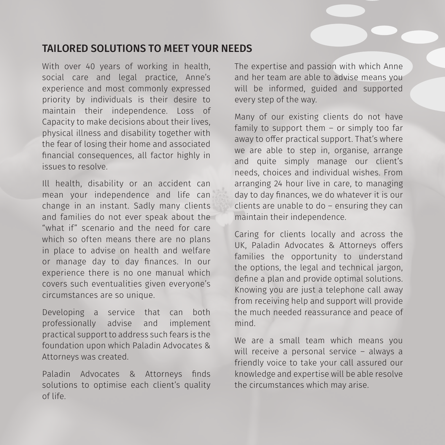### TAILORED SOLUTIONS TO MEET YOUR NEEDS.

With over 40 years of working in health, social care and legal practice, Anne's experience and most commonly expressed priority by individuals is their desire to maintain their independence. Loss of Capacity to make decisions about their lives, physical illness and disability together with the fear of losing their home and associated financial consequences, all factor highly in issues to resolve.

Ill health, disability or an accident can mean your independence and life can change in an instant. Sadly many clients and families do not ever speak about the "what if" scenario and the need for care which so often means there are no plans in place to advise on health and welfare or manage day to day finances. In our experience there is no one manual which covers such eventualities given everyone's circumstances are so unique.

Developing a service that can both professionally advise and implement practical support to address such fears is the foundation upon which Paladin Advocates & Attorneys was created.

Paladin Advocates & Attorneys finds solutions to optimise each client's quality of life.

The expertise and passion with which Anne and her team are able to advise means you will be informed, guided and supported every step of the way.

Many of our existing clients do not have family to support them – or simply too far away to offer practical support. That's where we are able to step in, organise, arrange and quite simply manage our client's needs, choices and individual wishes. From arranging 24 hour live in care, to managing day to day finances, we do whatever it is our clients are unable to do – ensuring they can maintain their independence.

Caring for clients locally and across the UK, Paladin Advocates & Attorneys offers families the opportunity to understand the options, the legal and technical jargon, define a plan and provide optimal solutions. Knowing you are just a telephone call away from receiving help and support will provide the much needed reassurance and peace of mind.

We are a small team which means you will receive a personal service – always a friendly voice to take your call assured our knowledge and expertise will be able resolve the circumstances which may arise.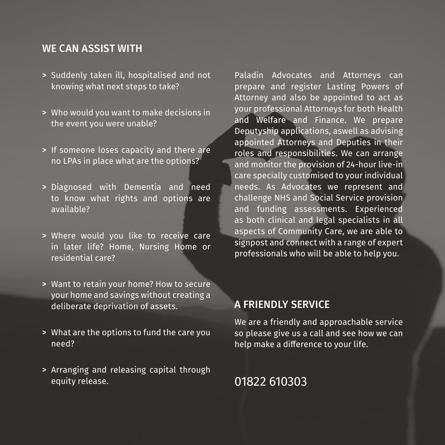#### WE CAN ASSIST WITH

- > Suddenly taken ill, hospitalised and not knowing what next steps to take?
- > Who would you want to make decisions in the event you were unable?
- > If someone loses capacity and there are no LPAs in place what are the options?
- > Diagnosed with Dementia and need to know what rights and options are available?
- > Where would you like to receive care in later life? Home, Nursing Home or residential care?
- > Want to retain your home? How to secure your home and savings without creating a deliberate deprivation of assets.
- > What are the options to fund the care you need?
- > Arranging and releasing capital through equity release.

Paladin Advocates and Attorneys can prepare and register Lasting Powers of Attorney and also be appointed to act as your professional Attorneys for both Health and Welfare and Finance. We prepare Deputyship applications, aswell as advising appointed Attorneys and Deputies in their roles and responsibilities. We can arrange and monitor the provision of 24-hour live-in care specially customised to your individual needs. As Advocates we represent and challenge NHS and Social Service provision and funding assessments. Experienced as both clinical and legal specialists in all aspects of Community Care, we are able to signpost and connect with a range of expert professionals who will be able to help you.

#### A FRIENDLY SERVICE

We are a friendly and approachable service so please give us a call and see how we can help make a difference to your life.

# 01822 610303